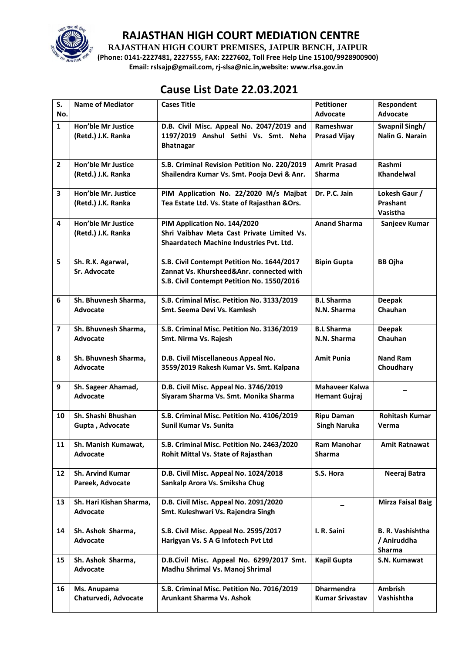

**RAJASTHAN HIGH COURT PREMISES, JAIPUR BENCH, JAIPUR**

**(Phone: 0141-2227481, 2227555, FAX: 2227602, Toll Free Help Line 15100/9928900900) Email: rslsajp@gmail.com, rj-slsa@nic.in,website: www.rlsa.gov.in**

# **Cause List Date 22.03.2021**

| S.                      | <b>Name of Mediator</b>                         | <b>Cases Title</b>                                                                                                                   | <b>Petitioner</b>                             | Respondent<br>Advocate                           |
|-------------------------|-------------------------------------------------|--------------------------------------------------------------------------------------------------------------------------------------|-----------------------------------------------|--------------------------------------------------|
| No.                     |                                                 |                                                                                                                                      | Advocate                                      |                                                  |
| $\mathbf{1}$            | <b>Hon'ble Mr Justice</b><br>(Retd.) J.K. Ranka | D.B. Civil Misc. Appeal No. 2047/2019 and<br>1197/2019 Anshul Sethi Vs. Smt. Neha<br><b>Bhatnagar</b>                                | Rameshwar<br><b>Prasad Vijay</b>              | Swapnil Singh/<br><b>Nalin G. Narain</b>         |
| $\mathbf{2}$            | Hon'ble Mr Justice<br>(Retd.) J.K. Ranka        | S.B. Criminal Revision Petition No. 220/2019<br>Shailendra Kumar Vs. Smt. Pooja Devi & Anr.                                          | <b>Amrit Prasad</b><br><b>Sharma</b>          | Rashmi<br>Khandelwal                             |
| 3                       | Hon'ble Mr. Justice<br>(Retd.) J.K. Ranka       | PIM Application No. 22/2020 M/s Majbat<br>Tea Estate Ltd. Vs. State of Rajasthan & Ors.                                              | Dr. P.C. Jain                                 | Lokesh Gaur /<br>Prashant<br>Vasistha            |
| 4                       | <b>Hon'ble Mr Justice</b><br>(Retd.) J.K. Ranka | PIM Application No. 144/2020<br>Shri Vaibhav Meta Cast Private Limited Vs.<br><b>Shaardatech Machine Industries Pvt. Ltd.</b>        | <b>Anand Sharma</b>                           | Sanjeev Kumar                                    |
| 5                       | Sh. R.K. Agarwal,<br>Sr. Advocate               | S.B. Civil Contempt Petition No. 1644/2017<br>Zannat Vs. Khursheed&Anr. connected with<br>S.B. Civil Contempt Petition No. 1550/2016 | <b>Bipin Gupta</b>                            | <b>BB Ojha</b>                                   |
| 6                       | Sh. Bhuvnesh Sharma,<br>Advocate                | S.B. Criminal Misc. Petition No. 3133/2019<br>Smt. Seema Devi Vs. Kamlesh                                                            | <b>B.L Sharma</b><br>N.N. Sharma              | <b>Deepak</b><br>Chauhan                         |
| $\overline{\mathbf{z}}$ | Sh. Bhuvnesh Sharma,<br>Advocate                | S.B. Criminal Misc. Petition No. 3136/2019<br>Smt. Nirma Vs. Rajesh                                                                  | <b>B.L Sharma</b><br>N.N. Sharma              | <b>Deepak</b><br>Chauhan                         |
| 8                       | Sh. Bhuvnesh Sharma,<br>Advocate                | D.B. Civil Miscellaneous Appeal No.<br>3559/2019 Rakesh Kumar Vs. Smt. Kalpana                                                       | <b>Amit Punia</b>                             | <b>Nand Ram</b><br>Choudhary                     |
| 9                       | Sh. Sageer Ahamad,<br>Advocate                  | D.B. Civil Misc. Appeal No. 3746/2019<br>Siyaram Sharma Vs. Smt. Monika Sharma                                                       | <b>Mahaveer Kalwa</b><br><b>Hemant Gujraj</b> |                                                  |
| 10                      | Sh. Shashi Bhushan<br>Gupta, Advocate           | S.B. Criminal Misc. Petition No. 4106/2019<br>Sunil Kumar Vs. Sunita                                                                 | <b>Ripu Daman</b><br><b>Singh Naruka</b>      | <b>Rohitash Kumar</b><br>Verma                   |
| 11                      | Sh. Manish Kumawat,<br>Advocate                 | S.B. Criminal Misc. Petition No. 2463/2020<br>Rohit Mittal Vs. State of Rajasthan                                                    | Ram Manohar<br><b>Sharma</b>                  | <b>Amit Ratnawat</b>                             |
| 12                      | <b>Sh. Arvind Kumar</b>                         | D.B. Civil Misc. Appeal No. 1024/2018                                                                                                | S.S. Hora                                     | Neeraj Batra                                     |
|                         | Pareek, Advocate                                | Sankalp Arora Vs. Smiksha Chug                                                                                                       |                                               |                                                  |
| 13                      | Sh. Hari Kishan Sharma,<br>Advocate             | D.B. Civil Misc. Appeal No. 2091/2020<br>Smt. Kuleshwari Vs. Rajendra Singh                                                          |                                               | <b>Mirza Faisal Baig</b>                         |
| 14                      | Sh. Ashok Sharma,<br>Advocate                   | S.B. Civil Misc. Appeal No. 2595/2017<br>Harigyan Vs. S A G Infotech Pvt Ltd                                                         | I. R. Saini                                   | <b>B. R. Vashishtha</b><br>/ Aniruddha<br>Sharma |
| 15                      | Sh. Ashok Sharma,<br>Advocate                   | D.B.Civil Misc. Appeal No. 6299/2017 Smt.<br>Madhu Shrimal Vs. Manoj Shrimal                                                         | <b>Kapil Gupta</b>                            | S.N. Kumawat                                     |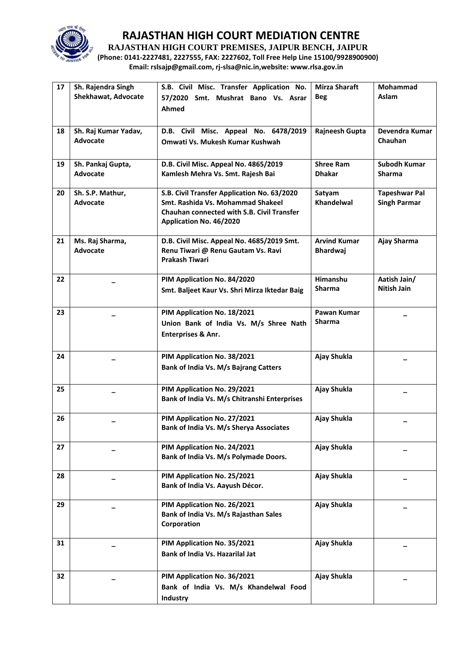

**RAJASTHAN HIGH COURT PREMISES, JAIPUR BENCH, JAIPUR**

**(Phone: 0141-2227481, 2227555, FAX: 2227602, Toll Free Help Line 15100/9928900900) Email: rslsajp@gmail.com, rj-slsa@nic.in,website: www.rlsa.gov.in**

| 17 | Sh. Rajendra Singh<br>Shekhawat, Advocate | S.B. Civil Misc. Transfer Application No.<br>57/2020 Smt. Mushrat Bano Vs. Asrar<br>Ahmed                                                                        | <b>Mirza Sharaft</b><br><b>Beg</b>     | Mohammad<br>Aslam                           |
|----|-------------------------------------------|------------------------------------------------------------------------------------------------------------------------------------------------------------------|----------------------------------------|---------------------------------------------|
| 18 | Sh. Raj Kumar Yadav,<br>Advocate          | D.B. Civil Misc. Appeal No. 6478/2019<br>Omwati Vs. Mukesh Kumar Kushwah                                                                                         | Rajneesh Gupta                         | Devendra Kumar<br>Chauhan                   |
| 19 | Sh. Pankaj Gupta,<br>Advocate             | D.B. Civil Misc. Appeal No. 4865/2019<br>Kamlesh Mehra Vs. Smt. Rajesh Bai                                                                                       | <b>Shree Ram</b><br><b>Dhakar</b>      | Subodh Kumar<br><b>Sharma</b>               |
| 20 | Sh. S.P. Mathur,<br>Advocate              | S.B. Civil Transfer Application No. 63/2020<br>Smt. Rashida Vs. Mohammad Shakeel<br><b>Chauhan connected with S.B. Civil Transfer</b><br>Application No. 46/2020 | Satyam<br>Khandelwal                   | <b>Tapeshwar Pal</b><br><b>Singh Parmar</b> |
| 21 | Ms. Raj Sharma,<br>Advocate               | D.B. Civil Misc. Appeal No. 4685/2019 Smt.<br>Renu Tiwari @ Renu Gautam Vs. Ravi<br>Prakash Tiwari                                                               | <b>Arvind Kumar</b><br><b>Bhardwaj</b> | Ajay Sharma                                 |
| 22 |                                           | PIM Application No. 84/2020<br>Smt. Baljeet Kaur Vs. Shri Mirza Iktedar Baig                                                                                     | Himanshu<br><b>Sharma</b>              | Aatish Jain/<br><b>Nitish Jain</b>          |
| 23 |                                           | PIM Application No. 18/2021<br>Union Bank of India Vs. M/s Shree Nath<br>Enterprises & Anr.                                                                      | Pawan Kumar<br>Sharma                  |                                             |
| 24 |                                           | PIM Application No. 38/2021<br>Bank of India Vs. M/s Bajrang Catters                                                                                             | Ajay Shukla                            |                                             |
| 25 |                                           | PIM Application No. 29/2021<br>Bank of India Vs. M/s Chitranshi Enterprises                                                                                      | Ajay Shukla                            |                                             |
| 26 |                                           | PIM Application No. 27/2021<br>Bank of India Vs. M/s Sherya Associates                                                                                           | Ajay Shukla                            |                                             |
| 27 |                                           | PIM Application No. 24/2021<br>Bank of India Vs. M/s Polymade Doors.                                                                                             | Ajay Shukla                            |                                             |
| 28 |                                           | PIM Application No. 25/2021<br>Bank of India Vs. Aayush Décor.                                                                                                   | Ajay Shukla                            |                                             |
| 29 |                                           | PIM Application No. 26/2021<br>Bank of India Vs. M/s Rajasthan Sales<br>Corporation                                                                              | Ajay Shukla                            |                                             |
| 31 |                                           | PIM Application No. 35/2021<br>Bank of India Vs. Hazarilal Jat                                                                                                   | Ajay Shukla                            |                                             |
| 32 |                                           | PIM Application No. 36/2021<br>Bank of India Vs. M/s Khandelwal Food<br>Industry                                                                                 | Ajay Shukla                            |                                             |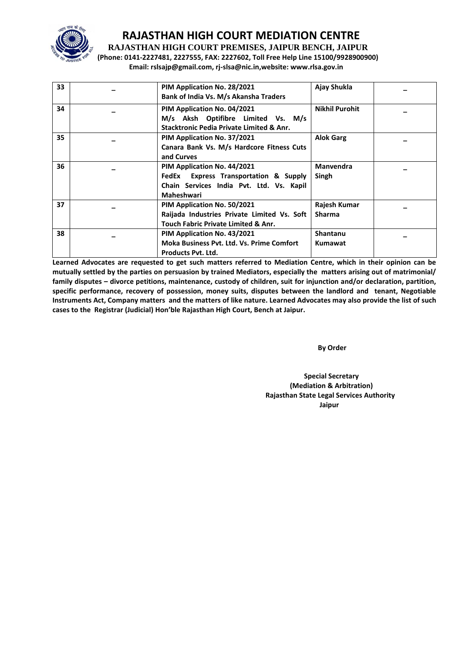

**RAJASTHAN HIGH COURT PREMISES, JAIPUR BENCH, JAIPUR**

**(Phone: 0141-2227481, 2227555, FAX: 2227602, Toll Free Help Line 15100/9928900900) Email: rslsajp@gmail.com, rj-slsa@nic.in,website: www.rlsa.gov.in**

| 33 | PIM Application No. 28/2021<br>Bank of India Vs. M/s Akansha Traders | Ajay Shukla           |  |
|----|----------------------------------------------------------------------|-----------------------|--|
|    |                                                                      |                       |  |
| 34 | PIM Application No. 04/2021                                          | <b>Nikhil Purohit</b> |  |
|    | M/s Aksh Optifibre Limited Vs. M/s                                   |                       |  |
|    | <b>Stacktronic Pedia Private Limited &amp; Anr.</b>                  |                       |  |
| 35 | PIM Application No. 37/2021                                          | <b>Alok Garg</b>      |  |
|    | Canara Bank Vs. M/s Hardcore Fitness Cuts                            |                       |  |
|    | and Curves                                                           |                       |  |
| 36 | PIM Application No. 44/2021                                          | <b>Manvendra</b>      |  |
|    | FedEx Express Transportation & Supply                                | Singh                 |  |
|    | Chain Services India Pvt. Ltd. Vs. Kapil                             |                       |  |
|    | Maheshwari                                                           |                       |  |
| 37 | PIM Application No. 50/2021                                          | Rajesh Kumar          |  |
|    | Raijada Industries Private Limited Vs. Soft                          | <b>Sharma</b>         |  |
|    | <b>Touch Fabric Private Limited &amp; Anr.</b>                       |                       |  |
| 38 | PIM Application No. 43/2021                                          | Shantanu              |  |
|    | <b>Moka Business Pvt. Ltd. Vs. Prime Comfort</b>                     | Kumawat               |  |
|    | <b>Products Pyt. Ltd.</b>                                            |                       |  |

**Learned Advocates are requested to get such matters referred to Mediation Centre, which in their opinion can be mutually settled by the parties on persuasion by trained Mediators, especially the matters arising out of matrimonial/ family disputes – divorce petitions, maintenance, custody of children, suit for injunction and/or declaration, partition, specific performance, recovery of possession, money suits, disputes between the landlord and tenant, Negotiable Instruments Act, Company matters and the matters of like nature. Learned Advocates may also provide the list of such cases to the Registrar (Judicial) Hon'ble Rajasthan High Court, Bench at Jaipur.** 

**By Order** 

 **Special Secretary (Mediation & Arbitration) Rajasthan State Legal Services Authority Jaipur**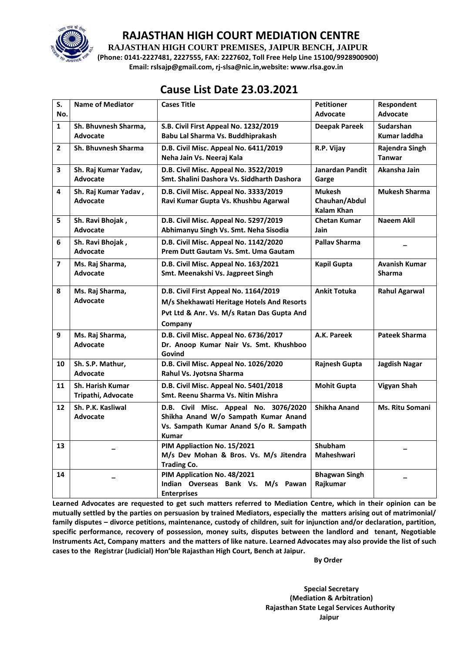

**RAJASTHAN HIGH COURT PREMISES, JAIPUR BENCH, JAIPUR**

**(Phone: 0141-2227481, 2227555, FAX: 2227602, Toll Free Help Line 15100/9928900900) Email: rslsajp@gmail.com, rj-slsa@nic.in,website: www.rlsa.gov.in**

## **Cause List Date 23.03.2021**

| S.<br>No.               | <b>Name of Mediator</b>                       | <b>Cases Title</b>                                                                                                                           | <b>Petitioner</b><br><b>Advocate</b>         | Respondent<br>Advocate                |
|-------------------------|-----------------------------------------------|----------------------------------------------------------------------------------------------------------------------------------------------|----------------------------------------------|---------------------------------------|
| $\mathbf{1}$            | Sh. Bhuvnesh Sharma,<br><b>Advocate</b>       | S.B. Civil First Appeal No. 1232/2019<br>Babu Lal Sharma Vs. Buddhiprakash                                                                   | <b>Deepak Pareek</b>                         | Sudarshan<br>Kumar laddha             |
| $\overline{2}$          | Sh. Bhuvnesh Sharma                           | D.B. Civil Misc. Appeal No. 6411/2019<br>Neha Jain Vs. Neeraj Kala                                                                           | R.P. Vijay                                   | Rajendra Singh<br><b>Tanwar</b>       |
| 3                       | Sh. Raj Kumar Yadav,<br><b>Advocate</b>       | D.B. Civil Misc. Appeal No. 3522/2019<br>Smt. Shalini Dashora Vs. Siddharth Dashora                                                          | <b>Janardan Pandit</b><br>Garge              | Akansha Jain                          |
| 4                       | Sh. Raj Kumar Yadav,<br><b>Advocate</b>       | D.B. Civil Misc. Appeal No. 3333/2019<br>Ravi Kumar Gupta Vs. Khushbu Agarwal                                                                | <b>Mukesh</b><br>Chauhan/Abdul<br>Kalam Khan | <b>Mukesh Sharma</b>                  |
| 5                       | Sh. Ravi Bhojak,<br><b>Advocate</b>           | D.B. Civil Misc. Appeal No. 5297/2019<br>Abhimanyu Singh Vs. Smt. Neha Sisodia                                                               | <b>Chetan Kumar</b><br>Jain                  | <b>Naeem Akil</b>                     |
| 6                       | Sh. Ravi Bhojak,<br><b>Advocate</b>           | D.B. Civil Misc. Appeal No. 1142/2020<br>Prem Dutt Gautam Vs. Smt. Uma Gautam                                                                | <b>Pallav Sharma</b>                         |                                       |
| $\overline{\mathbf{z}}$ | Ms. Raj Sharma,<br>Advocate                   | D.B. Civil Misc. Appeal No. 163/2021<br>Smt. Meenakshi Vs. Jagpreet Singh                                                                    | <b>Kapil Gupta</b>                           | <b>Avanish Kumar</b><br><b>Sharma</b> |
| 8                       | Ms. Raj Sharma,<br>Advocate                   | D.B. Civil First Appeal No. 1164/2019<br>M/s Shekhawati Heritage Hotels And Resorts<br>Pvt Ltd & Anr. Vs. M/s Ratan Das Gupta And<br>Company | <b>Ankit Totuka</b>                          | <b>Rahul Agarwal</b>                  |
| 9                       | Ms. Raj Sharma,<br><b>Advocate</b>            | D.B. Civil Misc. Appeal No. 6736/2017<br>Dr. Anoop Kumar Nair Vs. Smt. Khushboo<br>Govind                                                    | A.K. Pareek                                  | <b>Pateek Sharma</b>                  |
| 10                      | Sh. S.P. Mathur,<br><b>Advocate</b>           | D.B. Civil Misc. Appeal No. 1026/2020<br>Rahul Vs. Jyotsna Sharma                                                                            | <b>Rajnesh Gupta</b>                         | Jagdish Nagar                         |
| 11                      | <b>Sh. Harish Kumar</b><br>Tripathi, Advocate | D.B. Civil Misc. Appeal No. 5401/2018<br>Smt. Reenu Sharma Vs. Nitin Mishra                                                                  | <b>Mohit Gupta</b>                           | <b>Vigyan Shah</b>                    |
| $12 \overline{ }$       | Sh. P.K. Kasliwal<br>Advocate                 | D.B. Civil Misc. Appeal No. 3076/2020<br>Shikha Anand W/o Sampath Kumar Anand<br>Vs. Sampath Kumar Anand S/o R. Sampath<br>Kumar             | Shikha Anand                                 | <b>Ms. Ritu Somani</b>                |
| 13                      |                                               | PIM Appliaction No. 15/2021<br>M/s Dev Mohan & Bros. Vs. M/s Jitendra<br><b>Trading Co.</b>                                                  | Shubham<br>Maheshwari                        |                                       |
| 14                      |                                               | PIM Application No. 48/2021<br>Indian Overseas Bank Vs. M/s Pawan<br><b>Enterprises</b>                                                      | <b>Bhagwan Singh</b><br>Rajkumar             |                                       |

**Learned Advocates are requested to get such matters referred to Mediation Centre, which in their opinion can be mutually settled by the parties on persuasion by trained Mediators, especially the matters arising out of matrimonial/ family disputes – divorce petitions, maintenance, custody of children, suit for injunction and/or declaration, partition, specific performance, recovery of possession, money suits, disputes between the landlord and tenant, Negotiable Instruments Act, Company matters and the matters of like nature. Learned Advocates may also provide the list of such cases to the Registrar (Judicial) Hon'ble Rajasthan High Court, Bench at Jaipur.** 

 **By Order** 

 **Special Secretary (Mediation & Arbitration) Rajasthan State Legal Services Authority Jaipur**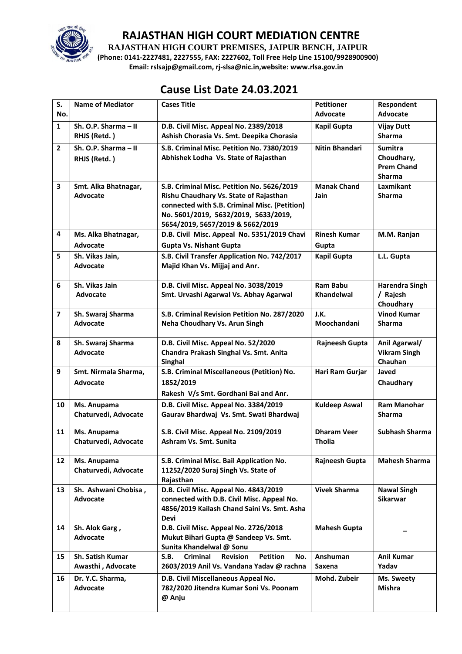

**RAJASTHAN HIGH COURT PREMISES, JAIPUR BENCH, JAIPUR**

**(Phone: 0141-2227481, 2227555, FAX: 2227602, Toll Free Help Line 15100/9928900900) Email: rslsajp@gmail.com, rj-slsa@nic.in,website: www.rlsa.gov.in**

# **Cause List Date 24.03.2021**

| S.                       | <b>Name of Mediator</b>             | <b>Cases Title</b>                                                              | <b>Petitioner</b>     | Respondent                 |
|--------------------------|-------------------------------------|---------------------------------------------------------------------------------|-----------------------|----------------------------|
| No.                      |                                     |                                                                                 | <b>Advocate</b>       | Advocate                   |
| $\mathbf{1}$             | Sh. O.P. Sharma - II                | D.B. Civil Misc. Appeal No. 2389/2018                                           | <b>Kapil Gupta</b>    | <b>Vijay Dutt</b>          |
|                          | RHJS (Retd.)                        | Ashish Chorasia Vs. Smt. Deepika Chorasia                                       |                       | <b>Sharma</b>              |
| $\overline{2}$           | Sh. O.P. Sharma - II                | S.B. Criminal Misc. Petition No. 7380/2019                                      | <b>Nitin Bhandari</b> | <b>Sumitra</b>             |
|                          | RHJS (Retd.)                        | Abhishek Lodha Vs. State of Rajasthan                                           |                       | Choudhary,                 |
|                          |                                     |                                                                                 |                       | <b>Prem Chand</b>          |
| 3                        | Smt. Alka Bhatnagar,                | S.B. Criminal Misc. Petition No. 5626/2019                                      | <b>Manak Chand</b>    | <b>Sharma</b><br>Laxmikant |
|                          | <b>Advocate</b>                     | Rishu Chaudhary Vs. State of Rajasthan                                          | Jain                  | <b>Sharma</b>              |
|                          |                                     | connected with S.B. Criminal Misc. (Petition)                                   |                       |                            |
|                          |                                     | No. 5601/2019, 5632/2019, 5633/2019,                                            |                       |                            |
|                          |                                     | 5654/2019, 5657/2019 & 5662/2019                                                |                       |                            |
| 4                        | Ms. Alka Bhatnagar,                 | D.B. Civil Misc. Appeal No. 5351/2019 Chavi                                     | <b>Rinesh Kumar</b>   | M.M. Ranjan                |
|                          | <b>Advocate</b>                     | <b>Gupta Vs. Nishant Gupta</b>                                                  | Gupta                 |                            |
| 5                        | Sh. Vikas Jain,                     | S.B. Civil Transfer Application No. 742/2017                                    | <b>Kapil Gupta</b>    | L.L. Gupta                 |
|                          | <b>Advocate</b>                     | Majid Khan Vs. Mijjaj and Anr.                                                  |                       |                            |
| 6                        | Sh. Vikas Jain                      | D.B. Civil Misc. Appeal No. 3038/2019                                           | <b>Ram Babu</b>       | <b>Harendra Singh</b>      |
|                          | <b>Advocate</b>                     | Smt. Urvashi Agarwal Vs. Abhay Agarwal                                          | <b>Khandelwal</b>     | / Rajesh                   |
|                          |                                     |                                                                                 |                       | Choudhary                  |
| $\overline{\phantom{a}}$ | Sh. Swaraj Sharma                   | S.B. Criminal Revision Petition No. 287/2020                                    | J.K.                  | <b>Vinod Kumar</b>         |
|                          | <b>Advocate</b>                     | Neha Choudhary Vs. Arun Singh                                                   | Moochandani           | <b>Sharma</b>              |
| 8                        | Sh. Swaraj Sharma                   | D.B. Civil Misc. Appeal No. 52/2020                                             | Rajneesh Gupta        | Anil Agarwal/              |
|                          | <b>Advocate</b>                     | Chandra Prakash Singhal Vs. Smt. Anita                                          |                       | <b>Vikram Singh</b>        |
|                          |                                     | Singhal                                                                         |                       | Chauhan                    |
| 9                        | Smt. Nirmala Sharma,                | S.B. Criminal Miscellaneous (Petition) No.                                      | Hari Ram Gurjar       | Javed                      |
|                          | <b>Advocate</b>                     | 1852/2019                                                                       |                       | Chaudhary                  |
|                          |                                     | Rakesh V/s Smt. Gordhani Bai and Anr.                                           |                       |                            |
| 10                       | Ms. Anupama                         | D.B. Civil Misc. Appeal No. 3384/2019                                           | <b>Kuldeep Aswal</b>  | <b>Ram Manohar</b>         |
|                          | Chaturvedi, Advocate                | Gaurav Bhardwaj Vs. Smt. Swati Bhardwaj                                         |                       | <b>Sharma</b>              |
| 11                       | Ms. Anupama                         | S.B. Civil Misc. Appeal No. 2109/2019                                           | <b>Dharam Veer</b>    | <b>Subhash Sharma</b>      |
|                          | Chaturvedi, Advocate                | Ashram Vs. Smt. Sunita                                                          | <b>Tholia</b>         |                            |
|                          |                                     |                                                                                 |                       |                            |
| $12 \overline{ }$        | Ms. Anupama<br>Chaturvedi, Advocate | S.B. Criminal Misc. Bail Application No.<br>11252/2020 Suraj Singh Vs. State of | Rajneesh Gupta        | <b>Mahesh Sharma</b>       |
|                          |                                     | Rajasthan                                                                       |                       |                            |
| 13                       | Sh. Ashwani Chobisa,                | D.B. Civil Misc. Appeal No. 4843/2019                                           | <b>Vivek Sharma</b>   | <b>Nawal Singh</b>         |
|                          | <b>Advocate</b>                     | connected with D.B. Civil Misc. Appeal No.                                      |                       | Sikarwar                   |
|                          |                                     | 4856/2019 Kailash Chand Saini Vs. Smt. Asha                                     |                       |                            |
|                          |                                     | <b>Devi</b>                                                                     |                       |                            |
| 14                       | Sh. Alok Garg,<br><b>Advocate</b>   | D.B. Civil Misc. Appeal No. 2726/2018<br>Mukut Bihari Gupta @ Sandeep Vs. Smt.  | <b>Mahesh Gupta</b>   |                            |
|                          |                                     | Sunita Khandelwal @ Sonu                                                        |                       |                            |
| 15                       | <b>Sh. Satish Kumar</b>             | <b>Criminal</b><br><b>Petition</b><br>S.B.<br><b>Revision</b><br>No.            | Anshuman              | <b>Anil Kumar</b>          |
|                          | Awasthi, Advocate                   | 2603/2019 Anil Vs. Vandana Yadav @ rachna                                       | Saxena                | Yadav                      |
| 16                       | Dr. Y.C. Sharma,                    | D.B. Civil Miscellaneous Appeal No.                                             | Mohd. Zubeir          | Ms. Sweety                 |
|                          | Advocate                            | 782/2020 Jitendra Kumar Soni Vs. Poonam                                         |                       | Mishra                     |
|                          |                                     | @ Anju                                                                          |                       |                            |
|                          |                                     |                                                                                 |                       |                            |